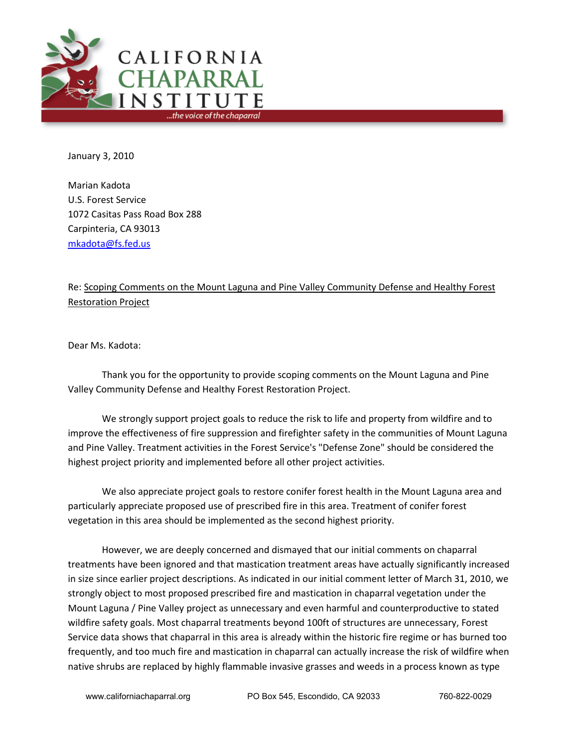

January 3, 2010

Marian Kadota U.S. Forest Service 1072 Casitas Pass Road Box 288 Carpinteria, CA 93013 [mkadota@fs.fed.us](mailto:mkadota@fs.fed.us)

# Re: Scoping Comments on the Mount Laguna and Pine Valley Community Defense and Healthy Forest Restoration Project

Dear Ms. Kadota:

Thank you for the opportunity to provide scoping comments on the Mount Laguna and Pine Valley Community Defense and Healthy Forest Restoration Project.

We strongly support project goals to reduce the risk to life and property from wildfire and to improve the effectiveness of fire suppression and firefighter safety in the communities of Mount Laguna and Pine Valley. Treatment activities in the Forest Service's "Defense Zone" should be considered the highest project priority and implemented before all other project activities.

We also appreciate project goals to restore conifer forest health in the Mount Laguna area and particularly appreciate proposed use of prescribed fire in this area. Treatment of conifer forest vegetation in this area should be implemented as the second highest priority.

However, we are deeply concerned and dismayed that our initial comments on chaparral treatments have been ignored and that mastication treatment areas have actually significantly increased in size since earlier project descriptions. As indicated in our initial comment letter of March 31, 2010, we strongly object to most proposed prescribed fire and mastication in chaparral vegetation under the Mount Laguna / Pine Valley project as unnecessary and even harmful and counterproductive to stated wildfire safety goals. Most chaparral treatments beyond 100ft of structures are unnecessary, Forest Service data shows that chaparral in this area is already within the historic fire regime or has burned too frequently, and too much fire and mastication in chaparral can actually increase the risk of wildfire when native shrubs are replaced by highly flammable invasive grasses and weeds in a process known as type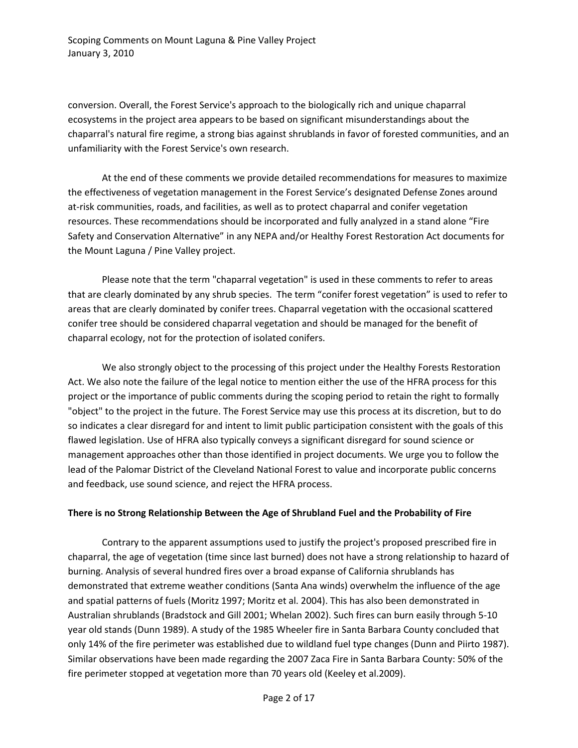conversion. Overall, the Forest Service's approach to the biologically rich and unique chaparral ecosystems in the project area appears to be based on significant misunderstandings about the chaparral's natural fire regime, a strong bias against shrublands in favor of forested communities, and an unfamiliarity with the Forest Service's own research.

At the end of these comments we provide detailed recommendations for measures to maximize the effectiveness of vegetation management in the Forest Service's designated Defense Zones around at-risk communities, roads, and facilities, as well as to protect chaparral and conifer vegetation resources. These recommendations should be incorporated and fully analyzed in a stand alone "Fire Safety and Conservation Alternative" in any NEPA and/or Healthy Forest Restoration Act documents for the Mount Laguna / Pine Valley project.

Please note that the term "chaparral vegetation" is used in these comments to refer to areas that are clearly dominated by any shrub species. The term "conifer forest vegetation" is used to refer to areas that are clearly dominated by conifer trees. Chaparral vegetation with the occasional scattered conifer tree should be considered chaparral vegetation and should be managed for the benefit of chaparral ecology, not for the protection of isolated conifers.

We also strongly object to the processing of this project under the Healthy Forests Restoration Act. We also note the failure of the legal notice to mention either the use of the HFRA process for this project or the importance of public comments during the scoping period to retain the right to formally "object" to the project in the future. The Forest Service may use this process at its discretion, but to do so indicates a clear disregard for and intent to limit public participation consistent with the goals of this flawed legislation. Use of HFRA also typically conveys a significant disregard for sound science or management approaches other than those identified in project documents. We urge you to follow the lead of the Palomar District of the Cleveland National Forest to value and incorporate public concerns and feedback, use sound science, and reject the HFRA process.

#### **There is no Strong Relationship Between the Age of Shrubland Fuel and the Probability of Fire**

Contrary to the apparent assumptions used to justify the project's proposed prescribed fire in chaparral, the age of vegetation (time since last burned) does not have a strong relationship to hazard of burning. Analysis of several hundred fires over a broad expanse of California shrublands has demonstrated that extreme weather conditions (Santa Ana winds) overwhelm the influence of the age and spatial patterns of fuels (Moritz 1997; Moritz et al. 2004). This has also been demonstrated in Australian shrublands (Bradstock and Gill 2001; Whelan 2002). Such fires can burn easily through 5-10 year old stands (Dunn 1989). A study of the 1985 Wheeler fire in Santa Barbara County concluded that only 14% of the fire perimeter was established due to wildland fuel type changes (Dunn and Piirto 1987). Similar observations have been made regarding the 2007 Zaca Fire in Santa Barbara County: 50% of the fire perimeter stopped at vegetation more than 70 years old (Keeley et al.2009).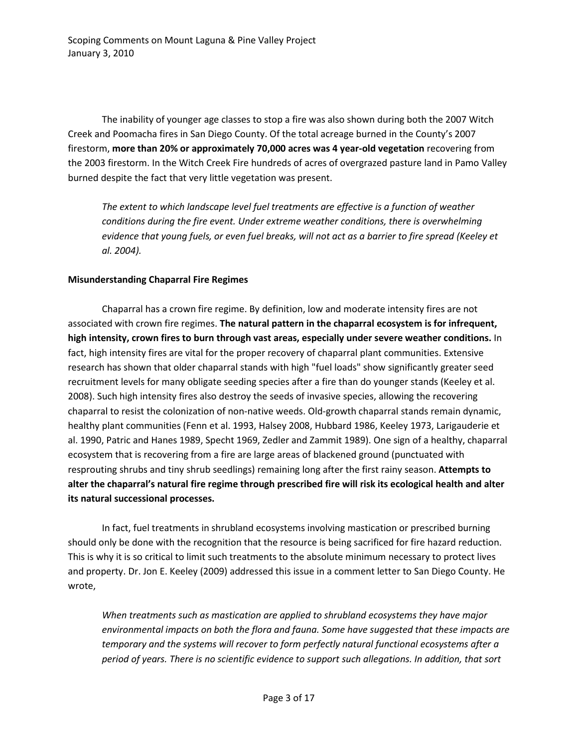The inability of younger age classes to stop a fire was also shown during both the 2007 Witch Creek and Poomacha fires in San Diego County. Of the total acreage burned in the County's 2007 firestorm, **more than 20% or approximately 70,000 acres was 4 year-old vegetation** recovering from the 2003 firestorm. In the Witch Creek Fire hundreds of acres of overgrazed pasture land in Pamo Valley burned despite the fact that very little vegetation was present.

*The extent to which landscape level fuel treatments are effective is a function of weather conditions during the fire event. Under extreme weather conditions, there is overwhelming evidence that young fuels, or even fuel breaks, will not act as a barrier to fire spread (Keeley et al. 2004).* 

## **Misunderstanding Chaparral Fire Regimes**

Chaparral has a crown fire regime. By definition, low and moderate intensity fires are not associated with crown fire regimes. **The natural pattern in the chaparral ecosystem is for infrequent, high intensity, crown fires to burn through vast areas, especially under severe weather conditions.** In fact, high intensity fires are vital for the proper recovery of chaparral plant communities. Extensive research has shown that older chaparral stands with high "fuel loads" show significantly greater seed recruitment levels for many obligate seeding species after a fire than do younger stands (Keeley et al. 2008). Such high intensity fires also destroy the seeds of invasive species, allowing the recovering chaparral to resist the colonization of non-native weeds. Old-growth chaparral stands remain dynamic, healthy plant communities (Fenn et al. 1993, Halsey 2008, Hubbard 1986, Keeley 1973, Larigauderie et al. 1990, Patric and Hanes 1989, Specht 1969, Zedler and Zammit 1989). One sign of a healthy, chaparral ecosystem that is recovering from a fire are large areas of blackened ground (punctuated with resprouting shrubs and tiny shrub seedlings) remaining long after the first rainy season. **Attempts to alter the chaparral's natural fire regime through prescribed fire will risk its ecological health and alter its natural successional processes.**

In fact, fuel treatments in shrubland ecosystems involving mastication or prescribed burning should only be done with the recognition that the resource is being sacrificed for fire hazard reduction. This is why it is so critical to limit such treatments to the absolute minimum necessary to protect lives and property. Dr. Jon E. Keeley (2009) addressed this issue in a comment letter to San Diego County. He wrote,

*When treatments such as mastication are applied to shrubland ecosystems they have major environmental impacts on both the flora and fauna. Some have suggested that these impacts are temporary and the systems will recover to form perfectly natural functional ecosystems after a period of years. There is no scientific evidence to support such allegations. In addition, that sort*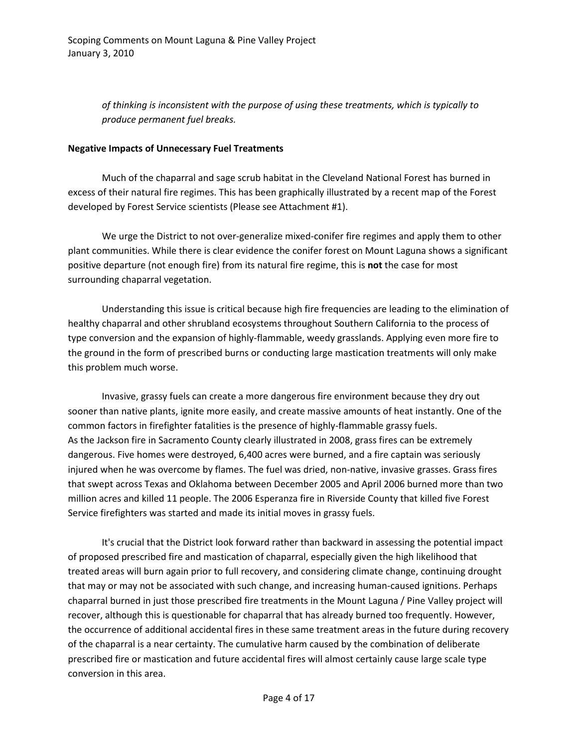*of thinking is inconsistent with the purpose of using these treatments, which is typically to produce permanent fuel breaks.* 

#### **Negative Impacts of Unnecessary Fuel Treatments**

Much of the chaparral and sage scrub habitat in the Cleveland National Forest has burned in excess of their natural fire regimes. This has been graphically illustrated by a recent map of the Forest developed by Forest Service scientists (Please see Attachment #1).

We urge the District to not over-generalize mixed-conifer fire regimes and apply them to other plant communities. While there is clear evidence the conifer forest on Mount Laguna shows a significant positive departure (not enough fire) from its natural fire regime, this is **not** the case for most surrounding chaparral vegetation.

Understanding this issue is critical because high fire frequencies are leading to the elimination of healthy chaparral and other shrubland ecosystems throughout Southern California to the process of type conversion and the expansion of highly-flammable, weedy grasslands. Applying even more fire to the ground in the form of prescribed burns or conducting large mastication treatments will only make this problem much worse.

Invasive, grassy fuels can create a more dangerous fire environment because they dry out sooner than native plants, ignite more easily, and create massive amounts of heat instantly. One of the common factors in firefighter fatalities is the presence of highly-flammable grassy fuels. As the Jackson fire in Sacramento County clearly illustrated in 2008, grass fires can be extremely dangerous. Five homes were destroyed, 6,400 acres were burned, and a fire captain was seriously injured when he was overcome by flames. The fuel was dried, non-native, invasive grasses. Grass fires that swept across Texas and Oklahoma between December 2005 and April 2006 burned more than two million acres and killed 11 people. The 2006 Esperanza fire in Riverside County that killed five Forest Service firefighters was started and made its initial moves in grassy fuels.

It's crucial that the District look forward rather than backward in assessing the potential impact of proposed prescribed fire and mastication of chaparral, especially given the high likelihood that treated areas will burn again prior to full recovery, and considering climate change, continuing drought that may or may not be associated with such change, and increasing human-caused ignitions. Perhaps chaparral burned in just those prescribed fire treatments in the Mount Laguna / Pine Valley project will recover, although this is questionable for chaparral that has already burned too frequently. However, the occurrence of additional accidental fires in these same treatment areas in the future during recovery of the chaparral is a near certainty. The cumulative harm caused by the combination of deliberate prescribed fire or mastication and future accidental fires will almost certainly cause large scale type conversion in this area.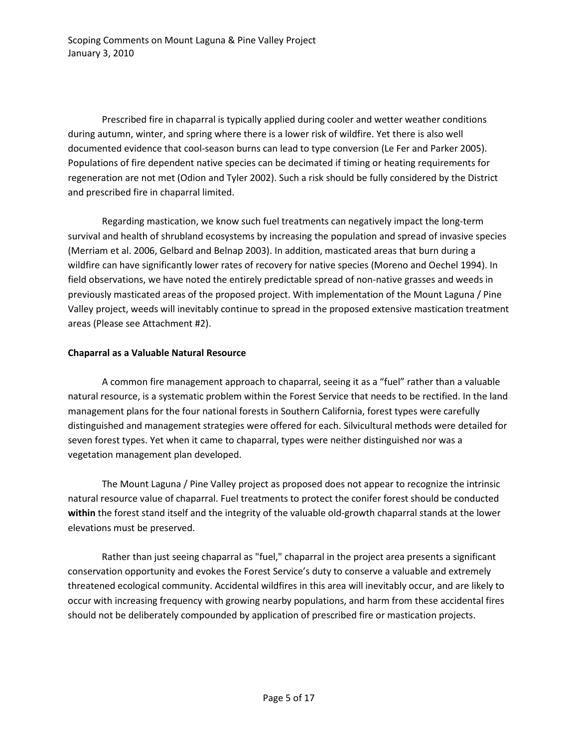Prescribed fire in chaparral is typically applied during cooler and wetter weather conditions during autumn, winter, and spring where there is a lower risk of wildfire. Yet there is also well documented evidence that cool-season burns can lead to type conversion (Le Fer and Parker 2005). Populations of fire dependent native species can be decimated if timing or heating requirements for regeneration are not met (Odion and Tyler 2002). Such a risk should be fully considered by the District and prescribed fire in chaparral limited.

Regarding mastication, we know such fuel treatments can negatively impact the long-term survival and health of shrubland ecosystems by increasing the population and spread of invasive species (Merriam et al. 2006, Gelbard and Belnap 2003). In addition, masticated areas that burn during a wildfire can have significantly lower rates of recovery for native species (Moreno and Oechel 1994). In field observations, we have noted the entirely predictable spread of non-native grasses and weeds in previously masticated areas of the proposed project. With implementation of the Mount Laguna / Pine Valley project, weeds will inevitably continue to spread in the proposed extensive mastication treatment areas (Please see Attachment #2).

## **Chaparral as a Valuable Natural Resource**

A common fire management approach to chaparral, seeing it as a "fuel" rather than a valuable natural resource, is a systematic problem within the Forest Service that needs to be rectified. In the land management plans for the four national forests in Southern California, forest types were carefully distinguished and management strategies were offered for each. Silvicultural methods were detailed for seven forest types. Yet when it came to chaparral, types were neither distinguished nor was a vegetation management plan developed.

The Mount Laguna / Pine Valley project as proposed does not appear to recognize the intrinsic natural resource value of chaparral. Fuel treatments to protect the conifer forest should be conducted **within** the forest stand itself and the integrity of the valuable old-growth chaparral stands at the lower elevations must be preserved.

Rather than just seeing chaparral as "fuel," chaparral in the project area presents a significant conservation opportunity and evokes the Forest Service's duty to conserve a valuable and extremely threatened ecological community. Accidental wildfires in this area will inevitably occur, and are likely to occur with increasing frequency with growing nearby populations, and harm from these accidental fires should not be deliberately compounded by application of prescribed fire or mastication projects.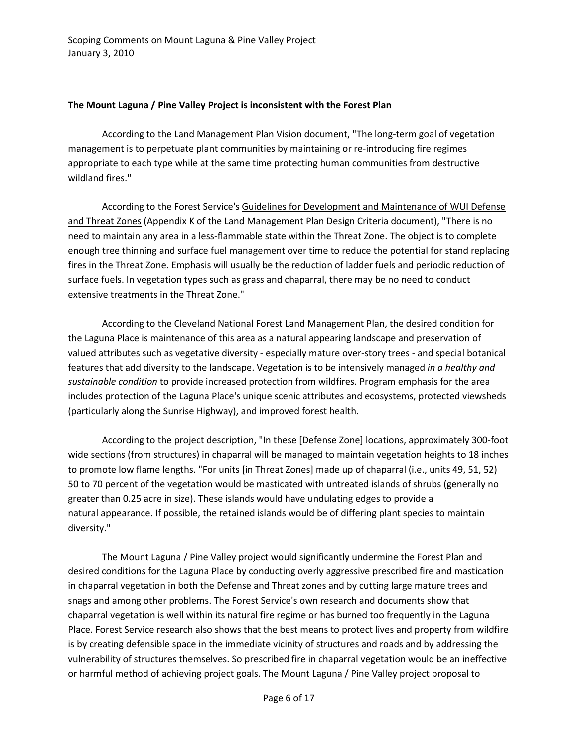#### **The Mount Laguna / Pine Valley Project is inconsistent with the Forest Plan**

According to the Land Management Plan Vision document, "The long-term goal of vegetation management is to perpetuate plant communities by maintaining or re-introducing fire regimes appropriate to each type while at the same time protecting human communities from destructive wildland fires."

According to the Forest Service's Guidelines for Development and Maintenance of WUI Defense and Threat Zones (Appendix K of the Land Management Plan Design Criteria document), "There is no need to maintain any area in a less-flammable state within the Threat Zone. The object is to complete enough tree thinning and surface fuel management over time to reduce the potential for stand replacing fires in the Threat Zone. Emphasis will usually be the reduction of ladder fuels and periodic reduction of surface fuels. In vegetation types such as grass and chaparral, there may be no need to conduct extensive treatments in the Threat Zone."

According to the Cleveland National Forest Land Management Plan, the desired condition for the Laguna Place is maintenance of this area as a natural appearing landscape and preservation of valued attributes such as vegetative diversity - especially mature over-story trees - and special botanical features that add diversity to the landscape. Vegetation is to be intensively managed *in a healthy and sustainable condition* to provide increased protection from wildfires. Program emphasis for the area includes protection of the Laguna Place's unique scenic attributes and ecosystems, protected viewsheds (particularly along the Sunrise Highway), and improved forest health.

According to the project description, "In these [Defense Zone] locations, approximately 300-foot wide sections (from structures) in chaparral will be managed to maintain vegetation heights to 18 inches to promote low flame lengths. "For units [in Threat Zones] made up of chaparral (i.e., units 49, 51, 52) 50 to 70 percent of the vegetation would be masticated with untreated islands of shrubs (generally no greater than 0.25 acre in size). These islands would have undulating edges to provide a natural appearance. If possible, the retained islands would be of differing plant species to maintain diversity."

The Mount Laguna / Pine Valley project would significantly undermine the Forest Plan and desired conditions for the Laguna Place by conducting overly aggressive prescribed fire and mastication in chaparral vegetation in both the Defense and Threat zones and by cutting large mature trees and snags and among other problems. The Forest Service's own research and documents show that chaparral vegetation is well within its natural fire regime or has burned too frequently in the Laguna Place. Forest Service research also shows that the best means to protect lives and property from wildfire is by creating defensible space in the immediate vicinity of structures and roads and by addressing the vulnerability of structures themselves. So prescribed fire in chaparral vegetation would be an ineffective or harmful method of achieving project goals. The Mount Laguna / Pine Valley project proposal to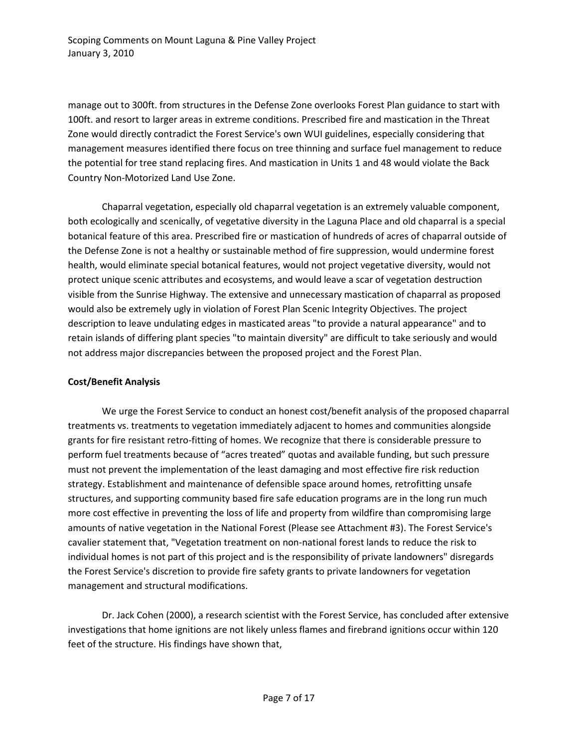manage out to 300ft. from structures in the Defense Zone overlooks Forest Plan guidance to start with 100ft. and resort to larger areas in extreme conditions. Prescribed fire and mastication in the Threat Zone would directly contradict the Forest Service's own WUI guidelines, especially considering that management measures identified there focus on tree thinning and surface fuel management to reduce the potential for tree stand replacing fires. And mastication in Units 1 and 48 would violate the Back Country Non-Motorized Land Use Zone.

Chaparral vegetation, especially old chaparral vegetation is an extremely valuable component, both ecologically and scenically, of vegetative diversity in the Laguna Place and old chaparral is a special botanical feature of this area. Prescribed fire or mastication of hundreds of acres of chaparral outside of the Defense Zone is not a healthy or sustainable method of fire suppression, would undermine forest health, would eliminate special botanical features, would not project vegetative diversity, would not protect unique scenic attributes and ecosystems, and would leave a scar of vegetation destruction visible from the Sunrise Highway. The extensive and unnecessary mastication of chaparral as proposed would also be extremely ugly in violation of Forest Plan Scenic Integrity Objectives. The project description to leave undulating edges in masticated areas "to provide a natural appearance" and to retain islands of differing plant species "to maintain diversity" are difficult to take seriously and would not address major discrepancies between the proposed project and the Forest Plan.

# **Cost/Benefit Analysis**

We urge the Forest Service to conduct an honest cost/benefit analysis of the proposed chaparral treatments vs. treatments to vegetation immediately adjacent to homes and communities alongside grants for fire resistant retro-fitting of homes. We recognize that there is considerable pressure to perform fuel treatments because of "acres treated" quotas and available funding, but such pressure must not prevent the implementation of the least damaging and most effective fire risk reduction strategy. Establishment and maintenance of defensible space around homes, retrofitting unsafe structures, and supporting community based fire safe education programs are in the long run much more cost effective in preventing the loss of life and property from wildfire than compromising large amounts of native vegetation in the National Forest (Please see Attachment #3). The Forest Service's cavalier statement that, "Vegetation treatment on non-national forest lands to reduce the risk to individual homes is not part of this project and is the responsibility of private landowners" disregards the Forest Service's discretion to provide fire safety grants to private landowners for vegetation management and structural modifications.

Dr. Jack Cohen (2000), a research scientist with the Forest Service, has concluded after extensive investigations that home ignitions are not likely unless flames and firebrand ignitions occur within 120 feet of the structure. His findings have shown that,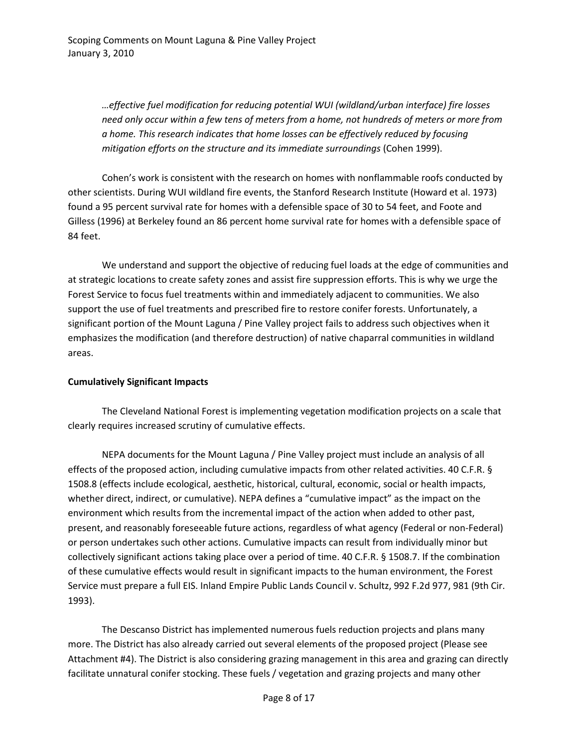*…effective fuel modification for reducing potential WUI (wildland/urban interface) fire losses need only occur within a few tens of meters from a home, not hundreds of meters or more from a home. This research indicates that home losses can be effectively reduced by focusing mitigation efforts on the structure and its immediate surroundings* (Cohen 1999).

Cohen's work is consistent with the research on homes with nonflammable roofs conducted by other scientists. During WUI wildland fire events, the Stanford Research Institute (Howard et al. 1973) found a 95 percent survival rate for homes with a defensible space of 30 to 54 feet, and Foote and Gilless (1996) at Berkeley found an 86 percent home survival rate for homes with a defensible space of 84 feet.

We understand and support the objective of reducing fuel loads at the edge of communities and at strategic locations to create safety zones and assist fire suppression efforts. This is why we urge the Forest Service to focus fuel treatments within and immediately adjacent to communities. We also support the use of fuel treatments and prescribed fire to restore conifer forests. Unfortunately, a significant portion of the Mount Laguna / Pine Valley project fails to address such objectives when it emphasizes the modification (and therefore destruction) of native chaparral communities in wildland areas.

#### **Cumulatively Significant Impacts**

The Cleveland National Forest is implementing vegetation modification projects on a scale that clearly requires increased scrutiny of cumulative effects.

NEPA documents for the Mount Laguna / Pine Valley project must include an analysis of all effects of the proposed action, including cumulative impacts from other related activities. 40 C.F.R. § 1508.8 (effects include ecological, aesthetic, historical, cultural, economic, social or health impacts, whether direct, indirect, or cumulative). NEPA defines a "cumulative impact" as the impact on the environment which results from the incremental impact of the action when added to other past, present, and reasonably foreseeable future actions, regardless of what agency (Federal or non-Federal) or person undertakes such other actions. Cumulative impacts can result from individually minor but collectively significant actions taking place over a period of time. 40 C.F.R. § 1508.7. If the combination of these cumulative effects would result in significant impacts to the human environment, the Forest Service must prepare a full EIS. Inland Empire Public Lands Council v. Schultz, 992 F.2d 977, 981 (9th Cir. 1993).

The Descanso District has implemented numerous fuels reduction projects and plans many more. The District has also already carried out several elements of the proposed project (Please see Attachment #4). The District is also considering grazing management in this area and grazing can directly facilitate unnatural conifer stocking. These fuels / vegetation and grazing projects and many other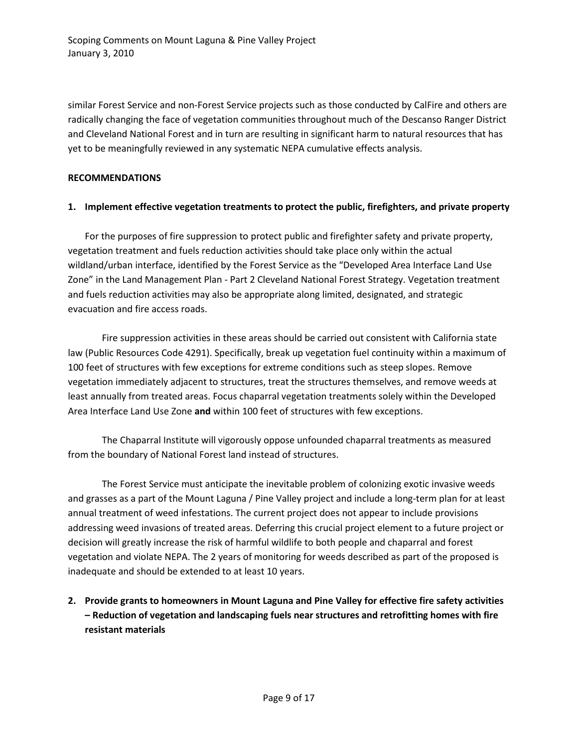similar Forest Service and non-Forest Service projects such as those conducted by CalFire and others are radically changing the face of vegetation communities throughout much of the Descanso Ranger District and Cleveland National Forest and in turn are resulting in significant harm to natural resources that has yet to be meaningfully reviewed in any systematic NEPA cumulative effects analysis.

## **RECOMMENDATIONS**

## **1. Implement effective vegetation treatments to protect the public, firefighters, and private property**

For the purposes of fire suppression to protect public and firefighter safety and private property, vegetation treatment and fuels reduction activities should take place only within the actual wildland/urban interface, identified by the Forest Service as the "Developed Area Interface Land Use Zone" in the Land Management Plan - Part 2 Cleveland National Forest Strategy. Vegetation treatment and fuels reduction activities may also be appropriate along limited, designated, and strategic evacuation and fire access roads.

Fire suppression activities in these areas should be carried out consistent with California state law (Public Resources Code 4291). Specifically, break up vegetation fuel continuity within a maximum of 100 feet of structures with few exceptions for extreme conditions such as steep slopes. Remove vegetation immediately adjacent to structures, treat the structures themselves, and remove weeds at least annually from treated areas. Focus chaparral vegetation treatments solely within the Developed Area Interface Land Use Zone **and** within 100 feet of structures with few exceptions.

The Chaparral Institute will vigorously oppose unfounded chaparral treatments as measured from the boundary of National Forest land instead of structures.

The Forest Service must anticipate the inevitable problem of colonizing exotic invasive weeds and grasses as a part of the Mount Laguna / Pine Valley project and include a long-term plan for at least annual treatment of weed infestations. The current project does not appear to include provisions addressing weed invasions of treated areas. Deferring this crucial project element to a future project or decision will greatly increase the risk of harmful wildlife to both people and chaparral and forest vegetation and violate NEPA. The 2 years of monitoring for weeds described as part of the proposed is inadequate and should be extended to at least 10 years.

**2. Provide grants to homeowners in Mount Laguna and Pine Valley for effective fire safety activities – Reduction of vegetation and landscaping fuels near structures and retrofitting homes with fire resistant materials**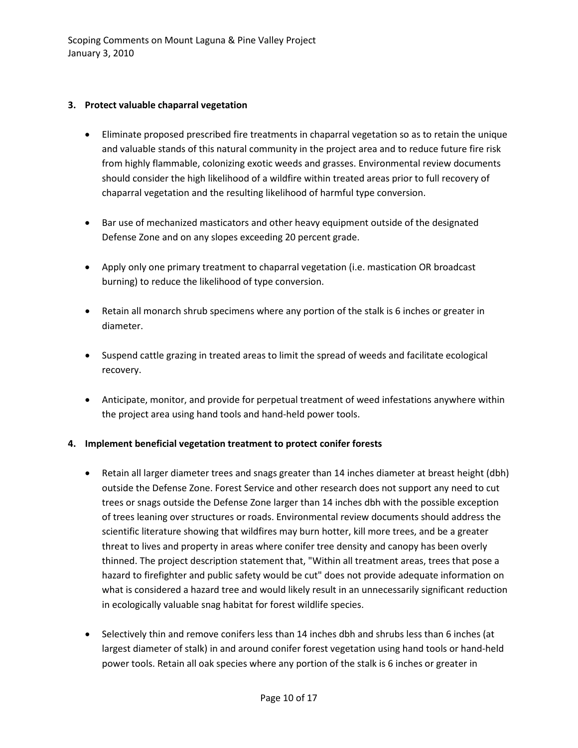## **3. Protect valuable chaparral vegetation**

- Eliminate proposed prescribed fire treatments in chaparral vegetation so as to retain the unique and valuable stands of this natural community in the project area and to reduce future fire risk from highly flammable, colonizing exotic weeds and grasses. Environmental review documents should consider the high likelihood of a wildfire within treated areas prior to full recovery of chaparral vegetation and the resulting likelihood of harmful type conversion.
- Bar use of mechanized masticators and other heavy equipment outside of the designated Defense Zone and on any slopes exceeding 20 percent grade.
- Apply only one primary treatment to chaparral vegetation (i.e. mastication OR broadcast burning) to reduce the likelihood of type conversion.
- Retain all monarch shrub specimens where any portion of the stalk is 6 inches or greater in diameter.
- Suspend cattle grazing in treated areas to limit the spread of weeds and facilitate ecological recovery.
- Anticipate, monitor, and provide for perpetual treatment of weed infestations anywhere within the project area using hand tools and hand-held power tools.

# **4. Implement beneficial vegetation treatment to protect conifer forests**

- Retain all larger diameter trees and snags greater than 14 inches diameter at breast height (dbh) outside the Defense Zone. Forest Service and other research does not support any need to cut trees or snags outside the Defense Zone larger than 14 inches dbh with the possible exception of trees leaning over structures or roads. Environmental review documents should address the scientific literature showing that wildfires may burn hotter, kill more trees, and be a greater threat to lives and property in areas where conifer tree density and canopy has been overly thinned. The project description statement that, "Within all treatment areas, trees that pose a hazard to firefighter and public safety would be cut" does not provide adequate information on what is considered a hazard tree and would likely result in an unnecessarily significant reduction in ecologically valuable snag habitat for forest wildlife species.
- Selectively thin and remove conifers less than 14 inches dbh and shrubs less than 6 inches (at largest diameter of stalk) in and around conifer forest vegetation using hand tools or hand-held power tools. Retain all oak species where any portion of the stalk is 6 inches or greater in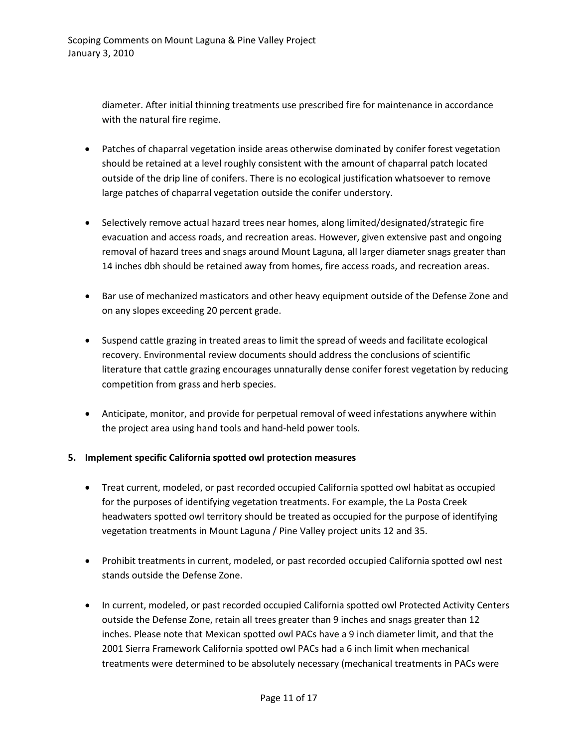diameter. After initial thinning treatments use prescribed fire for maintenance in accordance with the natural fire regime.

- Patches of chaparral vegetation inside areas otherwise dominated by conifer forest vegetation should be retained at a level roughly consistent with the amount of chaparral patch located outside of the drip line of conifers. There is no ecological justification whatsoever to remove large patches of chaparral vegetation outside the conifer understory.
- Selectively remove actual hazard trees near homes, along limited/designated/strategic fire evacuation and access roads, and recreation areas. However, given extensive past and ongoing removal of hazard trees and snags around Mount Laguna, all larger diameter snags greater than 14 inches dbh should be retained away from homes, fire access roads, and recreation areas.
- Bar use of mechanized masticators and other heavy equipment outside of the Defense Zone and on any slopes exceeding 20 percent grade.
- Suspend cattle grazing in treated areas to limit the spread of weeds and facilitate ecological recovery. Environmental review documents should address the conclusions of scientific literature that cattle grazing encourages unnaturally dense conifer forest vegetation by reducing competition from grass and herb species.
- Anticipate, monitor, and provide for perpetual removal of weed infestations anywhere within the project area using hand tools and hand-held power tools.

# **5. Implement specific California spotted owl protection measures**

- Treat current, modeled, or past recorded occupied California spotted owl habitat as occupied for the purposes of identifying vegetation treatments. For example, the La Posta Creek headwaters spotted owl territory should be treated as occupied for the purpose of identifying vegetation treatments in Mount Laguna / Pine Valley project units 12 and 35.
- Prohibit treatments in current, modeled, or past recorded occupied California spotted owl nest stands outside the Defense Zone.
- In current, modeled, or past recorded occupied California spotted owl Protected Activity Centers outside the Defense Zone, retain all trees greater than 9 inches and snags greater than 12 inches. Please note that Mexican spotted owl PACs have a 9 inch diameter limit, and that the 2001 Sierra Framework California spotted owl PACs had a 6 inch limit when mechanical treatments were determined to be absolutely necessary (mechanical treatments in PACs were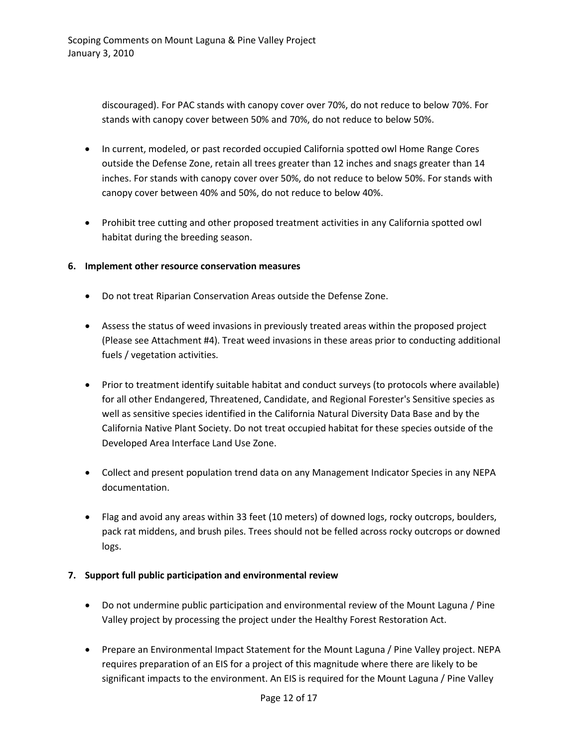discouraged). For PAC stands with canopy cover over 70%, do not reduce to below 70%. For stands with canopy cover between 50% and 70%, do not reduce to below 50%.

- In current, modeled, or past recorded occupied California spotted owl Home Range Cores outside the Defense Zone, retain all trees greater than 12 inches and snags greater than 14 inches. For stands with canopy cover over 50%, do not reduce to below 50%. For stands with canopy cover between 40% and 50%, do not reduce to below 40%.
- Prohibit tree cutting and other proposed treatment activities in any California spotted owl habitat during the breeding season.

#### **6. Implement other resource conservation measures**

- Do not treat Riparian Conservation Areas outside the Defense Zone.
- Assess the status of weed invasions in previously treated areas within the proposed project (Please see Attachment #4). Treat weed invasions in these areas prior to conducting additional fuels / vegetation activities.
- Prior to treatment identify suitable habitat and conduct surveys (to protocols where available) for all other Endangered, Threatened, Candidate, and Regional Forester's Sensitive species as well as sensitive species identified in the California Natural Diversity Data Base and by the California Native Plant Society. Do not treat occupied habitat for these species outside of the Developed Area Interface Land Use Zone.
- Collect and present population trend data on any Management Indicator Species in any NEPA documentation.
- Flag and avoid any areas within 33 feet (10 meters) of downed logs, rocky outcrops, boulders, pack rat middens, and brush piles. Trees should not be felled across rocky outcrops or downed logs.

#### **7. Support full public participation and environmental review**

- Do not undermine public participation and environmental review of the Mount Laguna / Pine Valley project by processing the project under the Healthy Forest Restoration Act.
- Prepare an Environmental Impact Statement for the Mount Laguna / Pine Valley project. NEPA requires preparation of an EIS for a project of this magnitude where there are likely to be significant impacts to the environment. An EIS is required for the Mount Laguna / Pine Valley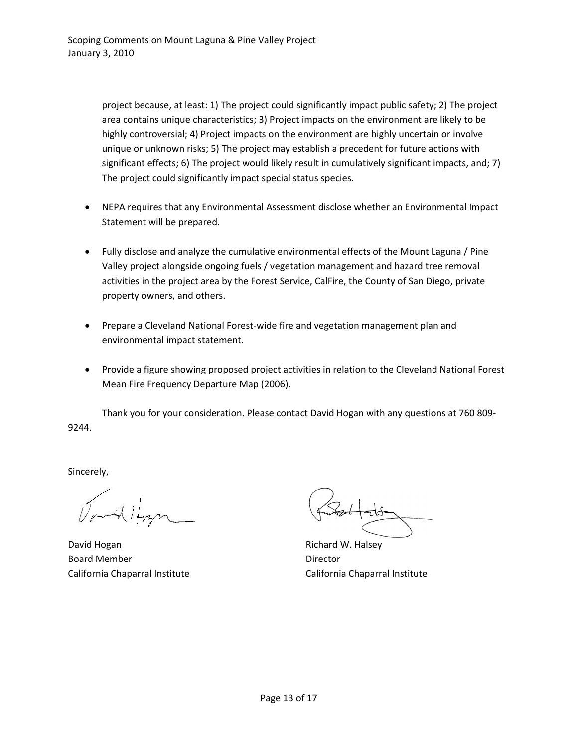project because, at least: 1) The project could significantly impact public safety; 2) The project area contains unique characteristics; 3) Project impacts on the environment are likely to be highly controversial; 4) Project impacts on the environment are highly uncertain or involve unique or unknown risks; 5) The project may establish a precedent for future actions with significant effects; 6) The project would likely result in cumulatively significant impacts, and; 7) The project could significantly impact special status species.

- NEPA requires that any Environmental Assessment disclose whether an Environmental Impact Statement will be prepared.
- Fully disclose and analyze the cumulative environmental effects of the Mount Laguna / Pine Valley project alongside ongoing fuels / vegetation management and hazard tree removal activities in the project area by the Forest Service, CalFire, the County of San Diego, private property owners, and others.
- Prepare a Cleveland National Forest-wide fire and vegetation management plan and environmental impact statement.
- Provide a figure showing proposed project activities in relation to the Cleveland National Forest Mean Fire Frequency Departure Map (2006).

Thank you for your consideration. Please contact David Hogan with any questions at 760 809- 9244.

Sincerely,

David Hogan **Richard W. Halsey** Richard W. Halsey Board Member **Director** California Chaparral Institute California Chaparral Institute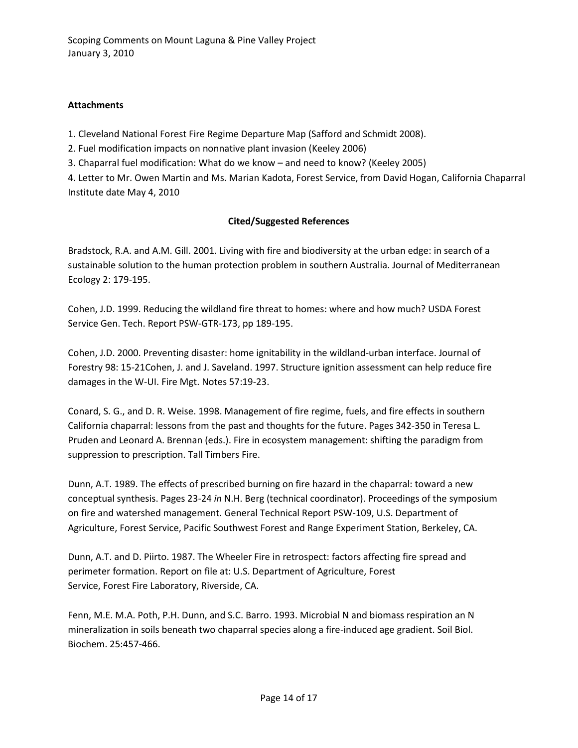## **Attachments**

1. Cleveland National Forest Fire Regime Departure Map (Safford and Schmidt 2008).

2. Fuel modification impacts on nonnative plant invasion (Keeley 2006)

3. Chaparral fuel modification: What do we know – and need to know? (Keeley 2005)

4. Letter to Mr. Owen Martin and Ms. Marian Kadota, Forest Service, from David Hogan, California Chaparral Institute date May 4, 2010

# **Cited/Suggested References**

Bradstock, R.A. and A.M. Gill. 2001. Living with fire and biodiversity at the urban edge: in search of a sustainable solution to the human protection problem in southern Australia. Journal of Mediterranean Ecology 2: 179-195.

Cohen, J.D. 1999. Reducing the wildland fire threat to homes: where and how much? USDA Forest Service Gen. Tech. Report PSW-GTR-173, pp 189-195.

Cohen, J.D. 2000. Preventing disaster: home ignitability in the wildland-urban interface. Journal of Forestry 98: 15-21Cohen, J. and J. Saveland. 1997. Structure ignition assessment can help reduce fire damages in the W-UI. Fire Mgt. Notes 57:19-23.

Conard, S. G., and D. R. Weise. 1998. Management of fire regime, fuels, and fire effects in southern California chaparral: lessons from the past and thoughts for the future. Pages 342-350 in Teresa L. Pruden and Leonard A. Brennan (eds.). Fire in ecosystem management: shifting the paradigm from suppression to prescription. Tall Timbers Fire.

Dunn, A.T. 1989. The effects of prescribed burning on fire hazard in the chaparral: toward a new conceptual synthesis. Pages 23-24 *in* N.H. Berg (technical coordinator). Proceedings of the symposium on fire and watershed management. General Technical Report PSW-109, U.S. Department of Agriculture, Forest Service, Pacific Southwest Forest and Range Experiment Station, Berkeley, CA.

Dunn, A.T. and D. Piirto. 1987. The Wheeler Fire in retrospect: factors affecting fire spread and perimeter formation. Report on file at: U.S. Department of Agriculture, Forest Service, Forest Fire Laboratory, Riverside, CA.

Fenn, M.E. M.A. Poth, P.H. Dunn, and S.C. Barro. 1993. Microbial N and biomass respiration an N mineralization in soils beneath two chaparral species along a fire-induced age gradient. Soil Biol. Biochem. 25:457-466.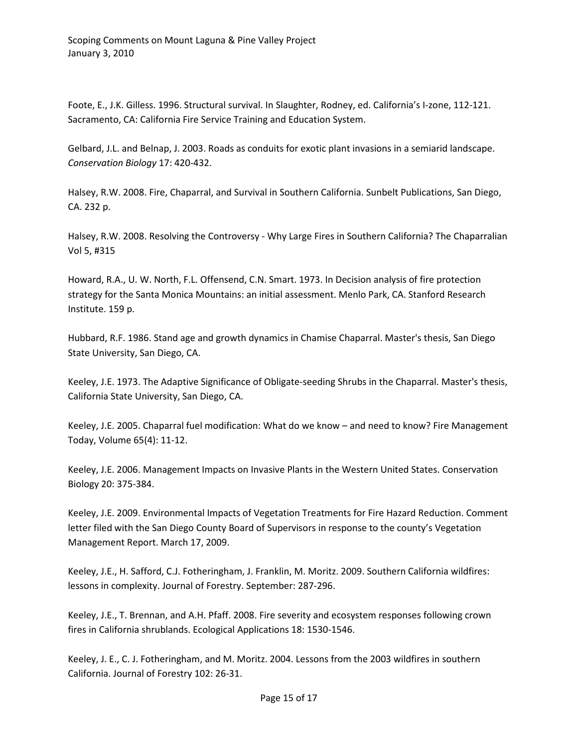Foote, E., J.K. Gilless. 1996. Structural survival. In Slaughter, Rodney, ed. California's I-zone, 112-121. Sacramento, CA: California Fire Service Training and Education System.

Gelbard, J.L. and Belnap, J. 2003. Roads as conduits for exotic plant invasions in a semiarid landscape. *Conservation Biology* 17: 420-432.

Halsey, R.W. 2008. Fire, Chaparral, and Survival in Southern California. Sunbelt Publications, San Diego, CA. 232 p.

Halsey, R.W. 2008. Resolving the Controversy - Why Large Fires in Southern California? The Chaparralian Vol 5, #315

Howard, R.A., U. W. North, F.L. Offensend, C.N. Smart. 1973. In Decision analysis of fire protection strategy for the Santa Monica Mountains: an initial assessment. Menlo Park, CA. Stanford Research Institute. 159 p.

Hubbard, R.F. 1986. Stand age and growth dynamics in Chamise Chaparral. Master's thesis, San Diego State University, San Diego, CA.

Keeley, J.E. 1973. The Adaptive Significance of Obligate-seeding Shrubs in the Chaparral. Master's thesis, California State University, San Diego, CA.

Keeley, J.E. 2005. Chaparral fuel modification: What do we know – and need to know? Fire Management Today, Volume 65(4): 11-12.

Keeley, J.E. 2006. Management Impacts on Invasive Plants in the Western United States. Conservation Biology 20: 375-384.

Keeley, J.E. 2009. Environmental Impacts of Vegetation Treatments for Fire Hazard Reduction. Comment letter filed with the San Diego County Board of Supervisors in response to the county's Vegetation Management Report. March 17, 2009.

Keeley, J.E., H. Safford, C.J. Fotheringham, J. Franklin, M. Moritz. 2009. Southern California wildfires: lessons in complexity. Journal of Forestry. September: 287-296.

Keeley, J.E., T. Brennan, and A.H. Pfaff. 2008. Fire severity and ecosystem responses following crown fires in California shrublands. Ecological Applications 18: 1530-1546.

Keeley, J. E., C. J. Fotheringham, and M. Moritz. 2004. Lessons from the 2003 wildfires in southern California. Journal of Forestry 102: 26-31.